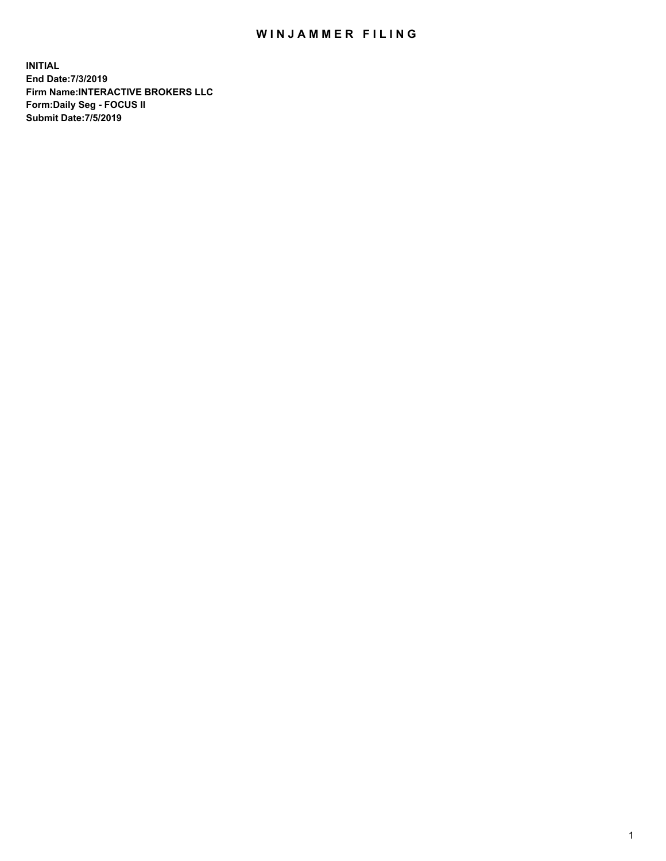## WIN JAMMER FILING

**INITIAL End Date:7/3/2019 Firm Name:INTERACTIVE BROKERS LLC Form:Daily Seg - FOCUS II Submit Date:7/5/2019**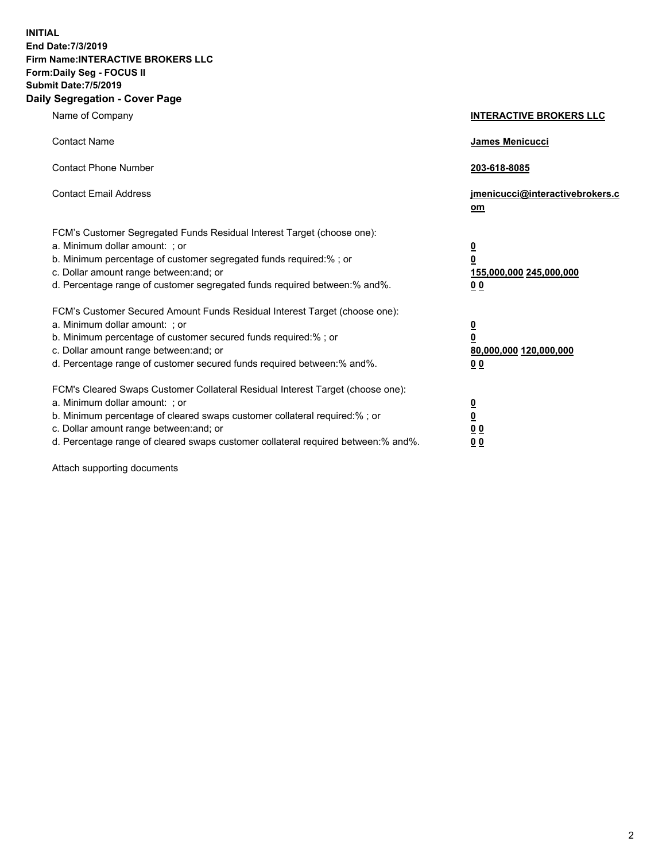**INITIAL End Date:7/3/2019 Firm Name:INTERACTIVE BROKERS LLC Form:Daily Seg - FOCUS II Submit Date:7/5/2019 Daily Segregation - Cover Page**

| Name of Company                                                                                                                                                                                                                                                                                                                | <b>INTERACTIVE BROKERS LLC</b>                                                                  |
|--------------------------------------------------------------------------------------------------------------------------------------------------------------------------------------------------------------------------------------------------------------------------------------------------------------------------------|-------------------------------------------------------------------------------------------------|
| <b>Contact Name</b>                                                                                                                                                                                                                                                                                                            | <b>James Menicucci</b>                                                                          |
| <b>Contact Phone Number</b>                                                                                                                                                                                                                                                                                                    | 203-618-8085                                                                                    |
| <b>Contact Email Address</b>                                                                                                                                                                                                                                                                                                   | jmenicucci@interactivebrokers.c<br>om                                                           |
| FCM's Customer Segregated Funds Residual Interest Target (choose one):<br>a. Minimum dollar amount: ; or<br>b. Minimum percentage of customer segregated funds required:% ; or<br>c. Dollar amount range between: and; or<br>d. Percentage range of customer segregated funds required between:% and%.                         | $\overline{\mathbf{0}}$<br>$\overline{\mathbf{0}}$<br>155,000,000 245,000,000<br>0 <sub>0</sub> |
| FCM's Customer Secured Amount Funds Residual Interest Target (choose one):<br>a. Minimum dollar amount: ; or<br>b. Minimum percentage of customer secured funds required:%; or<br>c. Dollar amount range between: and; or<br>d. Percentage range of customer secured funds required between:% and%.                            | $\overline{\mathbf{0}}$<br>$\mathbf 0$<br>80,000,000 120,000,000<br>0 <sub>0</sub>              |
| FCM's Cleared Swaps Customer Collateral Residual Interest Target (choose one):<br>a. Minimum dollar amount: ; or<br>b. Minimum percentage of cleared swaps customer collateral required:% ; or<br>c. Dollar amount range between: and; or<br>d. Percentage range of cleared swaps customer collateral required between:% and%. | $\overline{\mathbf{0}}$<br>$\underline{\mathbf{0}}$<br>0 <sub>0</sub><br>00                     |

Attach supporting documents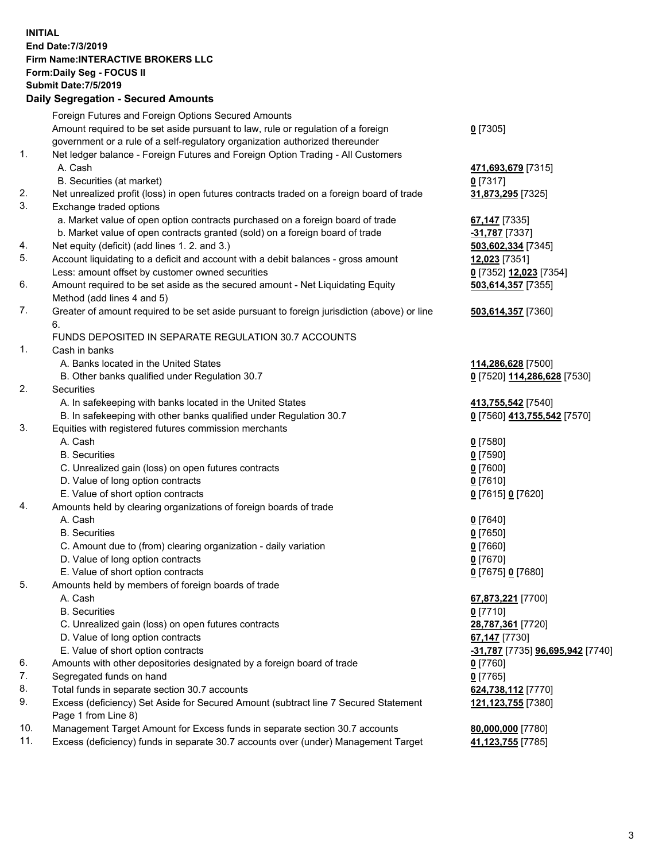## **INITIAL End Date:7/3/2019 Firm Name:INTERACTIVE BROKERS LLC Form:Daily Seg - FOCUS II Submit Date:7/5/2019 Daily Segregation - Secured Amounts**

|     | 2011, Ocgi ogation - Oceaned Anioanita                                                                     |                                                      |
|-----|------------------------------------------------------------------------------------------------------------|------------------------------------------------------|
|     | Foreign Futures and Foreign Options Secured Amounts                                                        |                                                      |
|     | Amount required to be set aside pursuant to law, rule or regulation of a foreign                           | $0$ [7305]                                           |
|     | government or a rule of a self-regulatory organization authorized thereunder                               |                                                      |
| 1.  | Net ledger balance - Foreign Futures and Foreign Option Trading - All Customers                            |                                                      |
|     | A. Cash                                                                                                    | 471,693,679 [7315]                                   |
|     | B. Securities (at market)                                                                                  | $0$ [7317]                                           |
| 2.  | Net unrealized profit (loss) in open futures contracts traded on a foreign board of trade                  | 31,873,295 [7325]                                    |
| 3.  | Exchange traded options                                                                                    |                                                      |
|     | a. Market value of open option contracts purchased on a foreign board of trade                             | <b>67,147</b> [7335]                                 |
|     | b. Market value of open contracts granted (sold) on a foreign board of trade                               | $-31,787$ [7337]                                     |
| 4.  | Net equity (deficit) (add lines 1. 2. and 3.)                                                              | 503,602,334 [7345]                                   |
| 5.  | Account liquidating to a deficit and account with a debit balances - gross amount                          | 12,023 [7351]                                        |
|     | Less: amount offset by customer owned securities                                                           | 0 [7352] 12,023 [7354]                               |
| 6.  | Amount required to be set aside as the secured amount - Net Liquidating Equity                             | 503,614,357 [7355]                                   |
|     | Method (add lines 4 and 5)                                                                                 |                                                      |
| 7.  | Greater of amount required to be set aside pursuant to foreign jurisdiction (above) or line                | 503,614,357 [7360]                                   |
|     | 6.                                                                                                         |                                                      |
|     | FUNDS DEPOSITED IN SEPARATE REGULATION 30.7 ACCOUNTS                                                       |                                                      |
| 1.  | Cash in banks                                                                                              |                                                      |
|     | A. Banks located in the United States                                                                      | 114,286,628 [7500]                                   |
|     | B. Other banks qualified under Regulation 30.7                                                             | 0 [7520] 114,286,628 [7530]                          |
| 2.  | Securities                                                                                                 |                                                      |
|     | A. In safekeeping with banks located in the United States                                                  | 413,755,542 [7540]                                   |
|     | B. In safekeeping with other banks qualified under Regulation 30.7                                         | 0 [7560] 413,755,542 [7570]                          |
| 3.  | Equities with registered futures commission merchants                                                      |                                                      |
|     | A. Cash                                                                                                    | $0$ [7580]                                           |
|     | <b>B.</b> Securities                                                                                       | $0$ [7590]                                           |
|     | C. Unrealized gain (loss) on open futures contracts                                                        | $0$ [7600]                                           |
|     | D. Value of long option contracts                                                                          | $0$ [7610]                                           |
|     | E. Value of short option contracts                                                                         | 0 [7615] 0 [7620]                                    |
| 4.  | Amounts held by clearing organizations of foreign boards of trade                                          |                                                      |
|     | A. Cash                                                                                                    | $0$ [7640]                                           |
|     | <b>B.</b> Securities                                                                                       | $0$ [7650]                                           |
|     | C. Amount due to (from) clearing organization - daily variation                                            | $0$ [7660]                                           |
|     | D. Value of long option contracts                                                                          | $0$ [7670]                                           |
|     | E. Value of short option contracts                                                                         | 0 [7675] 0 [7680]                                    |
| 5.  | Amounts held by members of foreign boards of trade                                                         |                                                      |
|     | A. Cash                                                                                                    | 67,873,221 [7700]                                    |
|     | <b>B.</b> Securities                                                                                       | $0$ [7710]                                           |
|     | C. Unrealized gain (loss) on open futures contracts                                                        | 28,787,361 [7720]                                    |
|     | D. Value of long option contracts                                                                          | 67,147 [7730]                                        |
|     | E. Value of short option contracts                                                                         | <mark>-31,787</mark> [7735] <b>96,695,942</b> [7740] |
| 6.  | Amounts with other depositories designated by a foreign board of trade                                     | <u>0</u> [7760]                                      |
| 7.  | Segregated funds on hand                                                                                   | $0$ [7765]                                           |
| 8.  | Total funds in separate section 30.7 accounts                                                              | 624,738,112 [7770]                                   |
| 9.  | Excess (deficiency) Set Aside for Secured Amount (subtract line 7 Secured Statement<br>Page 1 from Line 8) | 121,123,755 [7380]                                   |
| 10. | Management Target Amount for Excess funds in separate section 30.7 accounts                                | 80,000,000 [7780]                                    |
| 11. | Excess (deficiency) funds in separate 30.7 accounts over (under) Management Target                         | 41,123,755 [7785]                                    |
|     |                                                                                                            |                                                      |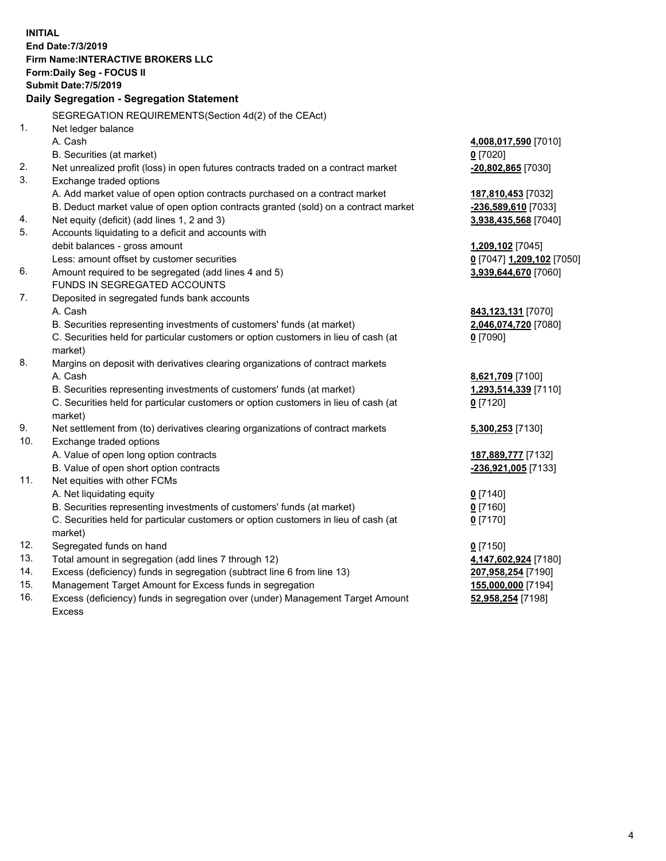**INITIAL End Date:7/3/2019 Firm Name:INTERACTIVE BROKERS LLC Form:Daily Seg - FOCUS II Submit Date:7/5/2019 Daily Segregation - Segregation Statement** SEGREGATION REQUIREMENTS(Section 4d(2) of the CEAct) 1. Net ledger balance A. Cash **4,008,017,590** [7010] B. Securities (at market) **0** [7020] 2. Net unrealized profit (loss) in open futures contracts traded on a contract market **-20,802,865** [7030] 3. Exchange traded options A. Add market value of open option contracts purchased on a contract market **187,810,453** [7032] B. Deduct market value of open option contracts granted (sold) on a contract market **-236,589,610** [7033] 4. Net equity (deficit) (add lines 1, 2 and 3) **3,938,435,568** [7040] 5. Accounts liquidating to a deficit and accounts with debit balances - gross amount **1,209,102** [7045] Less: amount offset by customer securities **0** [7047] **1,209,102** [7050] 6. Amount required to be segregated (add lines 4 and 5) **3,939,644,670** [7060] FUNDS IN SEGREGATED ACCOUNTS 7. Deposited in segregated funds bank accounts A. Cash **843,123,131** [7070] B. Securities representing investments of customers' funds (at market) **2,046,074,720** [7080] C. Securities held for particular customers or option customers in lieu of cash (at market) **0** [7090] 8. Margins on deposit with derivatives clearing organizations of contract markets A. Cash **8,621,709** [7100] B. Securities representing investments of customers' funds (at market) **1,293,514,339** [7110] C. Securities held for particular customers or option customers in lieu of cash (at market) **0** [7120] 9. Net settlement from (to) derivatives clearing organizations of contract markets **5,300,253** [7130] 10. Exchange traded options A. Value of open long option contracts **187,889,777** [7132] B. Value of open short option contracts **-236,921,005** [7133] 11. Net equities with other FCMs A. Net liquidating equity **0** [7140] B. Securities representing investments of customers' funds (at market) **0** [7160] C. Securities held for particular customers or option customers in lieu of cash (at market) **0** [7170] 12. Segregated funds on hand **0** [7150] 13. Total amount in segregation (add lines 7 through 12) **4,147,602,924** [7180] 14. Excess (deficiency) funds in segregation (subtract line 6 from line 13) **207,958,254** [7190] 15. Management Target Amount for Excess funds in segregation **155,000,000** [7194] **52,958,254** [7198]

16. Excess (deficiency) funds in segregation over (under) Management Target Amount Excess